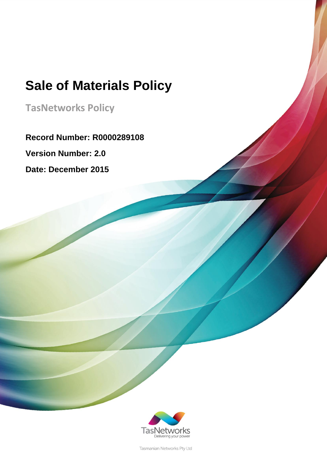**TasNetworks Policy**

**Record Number: R0000289108**

**Version Number: 2.0**

**Date: December 2015**



Tasmanian Networks Pty Ltd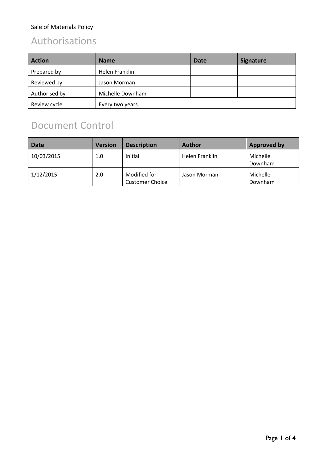## Authorisations

| <b>Action</b> | <b>Name</b>      | <b>Date</b> | <b>Signature</b> |
|---------------|------------------|-------------|------------------|
| Prepared by   | Helen Franklin   |             |                  |
| Reviewed by   | Jason Morman     |             |                  |
| Authorised by | Michelle Downham |             |                  |
| Review cycle  | Every two years  |             |                  |

## Document Control

| <b>Date</b> | <b>Version</b> | <b>Description</b>                     | Author         | Approved by         |
|-------------|----------------|----------------------------------------|----------------|---------------------|
| 10/03/2015  | 1.0            | Initial                                | Helen Franklin | Michelle<br>Downham |
| 1/12/2015   | 2.0            | Modified for<br><b>Customer Choice</b> | Jason Morman   | Michelle<br>Downham |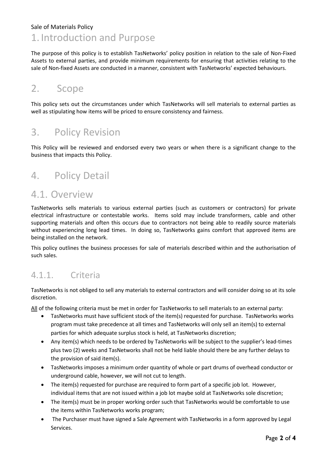### 1. Introduction and Purpose

The purpose of this policy is to establish TasNetworks' policy position in relation to the sale of Non-Fixed Assets to external parties, and provide minimum requirements for ensuring that activities relating to the sale of Non-fixed Assets are conducted in a manner, consistent with TasNetworks' expected behaviours.

### 2. Scope

This policy sets out the circumstances under which TasNetworks will sell materials to external parties as well as stipulating how items will be priced to ensure consistency and fairness.

### 3. Policy Revision

This Policy will be reviewed and endorsed every two years or when there is a significant change to the business that impacts this Policy.

### 4. Policy Detail

### 4.1. Overview

TasNetworks sells materials to various external parties (such as customers or contractors) for private electrical infrastructure or contestable works. Items sold may include transformers, cable and other supporting materials and often this occurs due to contractors not being able to readily source materials without experiencing long lead times. In doing so, TasNetworks gains comfort that approved items are being installed on the network.

This policy outlines the business processes for sale of materials described within and the authorisation of such sales.

### 4.1.1. Criteria

TasNetworks is not obliged to sell any materials to external contractors and will consider doing so at its sole discretion.

All of the following criteria must be met in order for TasNetworks to sell materials to an external party:

- TasNetworks must have sufficient stock of the item(s) requested for purchase. TasNetworks works program must take precedence at all times and TasNetworks will only sell an item(s) to external parties for which adequate surplus stock is held, at TasNetworks discretion;
- Any item(s) which needs to be ordered by TasNetworks will be subject to the supplier's lead-times plus two (2) weeks and TasNetworks shall not be held liable should there be any further delays to the provision of said item(s).
- TasNetworks imposes a minimum order quantity of whole or part drums of overhead conductor or underground cable, however, we will not cut to length.
- The item(s) requested for purchase are required to form part of a specific job lot. However, individual items that are not issued within a job lot maybe sold at TasNetworks sole discretion;
- The item(s) must be in proper working order such that TasNetworks would be comfortable to use the items within TasNetworks works program;
- The Purchaser must have signed a Sale Agreement with TasNetworks in a form approved by Legal Services.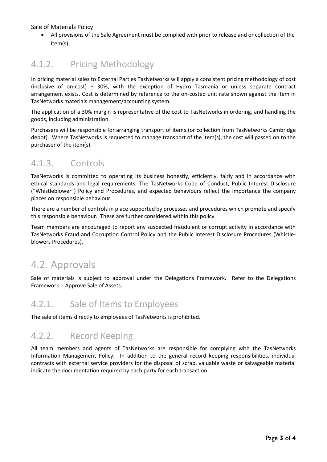All provisions of the Sale Agreement must be complied with prior to release and or collection of the item(s).

### 4.1.2. Pricing Methodology

In pricing material sales to External Parties TasNetworks will apply a consistent pricing methodology of cost (inclusive of on-cost) + 30%, with the exception of Hydro Tasmania or unless separate contract arrangement exists. Cost is determined by reference to the on-costed unit rate shown against the item in TasNetworks materials management/accounting system.

The application of a 30% margin is representative of the cost to TasNetworks in ordering, and handling the goods, including administration.

Purchasers will be responsible for arranging transport of items (or collection from TasNetworks Cambridge depot). Where TasNetworks is requested to manage transport of the item(s), the cost will passed on to the purchaser of the item(s).

### 4.1.3. Controls

TasNetworks is committed to operating its business honestly, efficiently, fairly and in accordance with ethical standards and legal requirements. The TasNetworks [Code of Conduct,](http://viewdoc/D11/102964) Public Interest Disclosure ("Whistleblower") Policy and Procedures, and expected behaviours reflect the importance the company places on responsible behaviour.

There are a number of controls in place supported by processes and procedures which promote and specify this responsible behaviour. These are further considered within this policy.

Team members are encouraged to report any suspected fraudulent or corrupt activity in accordance with TasNetworks [Fraud and Corruption Control Policy](http://viewdoc/D10/65097) and the [Public Interest Disclosure Procedures \(Whistle](http://viewdoc/d11/103081)[blowers Procedures\).](http://viewdoc/d11/103081)

### 4.2. Approvals

Sale of materials is subject to approval under the Delegations Framework. Refer to the Delegations Framework - Approve Sale of Assets.

#### 4.2.1. Sale of Items to Employees

The sale of items directly to employees of TasNetworks is prohibited.

### 4.2.2. Record Keeping

All team members and agents of TasNetworks are responsible for complying with the TasNetworks Information Management Policy. In addition to the general record keeping responsibilities, individual contracts with external service providers for the disposal of scrap, valuable waste or salvageable material indicate the documentation required by each party for each transaction.